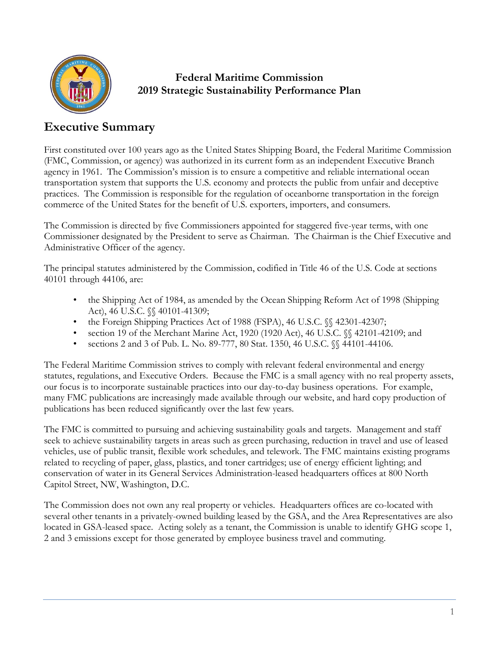

## **Federal Maritime Commission 2019 Strategic Sustainability Performance Plan**

## **Executive Summary**

First constituted over 100 years ago as the United States Shipping Board, the Federal Maritime Commission (FMC, Commission, or agency) was authorized in its current form as an independent Executive Branch agency in 1961. The Commission's mission is to ensure a competitive and reliable international ocean transportation system that supports the U.S. economy and protects the public from unfair and deceptive practices. The Commission is responsible for the regulation of oceanborne transportation in the foreign commerce of the United States for the benefit of U.S. exporters, importers, and consumers.

The Commission is directed by five Commissioners appointed for staggered five-year terms, with one Commissioner designated by the President to serve as Chairman. The Chairman is the Chief Executive and Administrative Officer of the agency.

The principal statutes administered by the Commission, codified in Title 46 of the U.S. Code at sections 40101 through 44106, are:

- the Shipping Act of 1984, as amended by the Ocean Shipping Reform Act of 1998 (Shipping Act), 46 U.S.C. §§ 40101-41309;
- the Foreign Shipping Practices Act of 1988 (FSPA), 46 U.S.C. §§ 42301-42307;
- section 19 of the Merchant Marine Act, 1920 (1920 Act), 46 U.S.C. §§ 42101-42109; and
- sections 2 and 3 of Pub. L. No. 89-777, 80 Stat. 1350, 46 U.S.C. §§ 44101-44106.

The Federal Maritime Commission strives to comply with relevant federal environmental and energy statutes, regulations, and Executive Orders. Because the FMC is a small agency with no real property assets, our focus is to incorporate sustainable practices into our day-to-day business operations. For example, many FMC publications are increasingly made available through our website, and hard copy production of publications has been reduced significantly over the last few years.

The FMC is committed to pursuing and achieving sustainability goals and targets. Management and staff seek to achieve sustainability targets in areas such as green purchasing, reduction in travel and use of leased vehicles, use of public transit, flexible work schedules, and telework. The FMC maintains existing programs related to recycling of paper, glass, plastics, and toner cartridges; use of energy efficient lighting; and conservation of water in its General Services Administration-leased headquarters offices at 800 North Capitol Street, NW, Washington, D.C.

The Commission does not own any real property or vehicles. Headquarters offices are co-located with several other tenants in a privately-owned building leased by the GSA, and the Area Representatives are also located in GSA-leased space. Acting solely as a tenant, the Commission is unable to identify GHG scope 1, 2 and 3 emissions except for those generated by employee business travel and commuting.